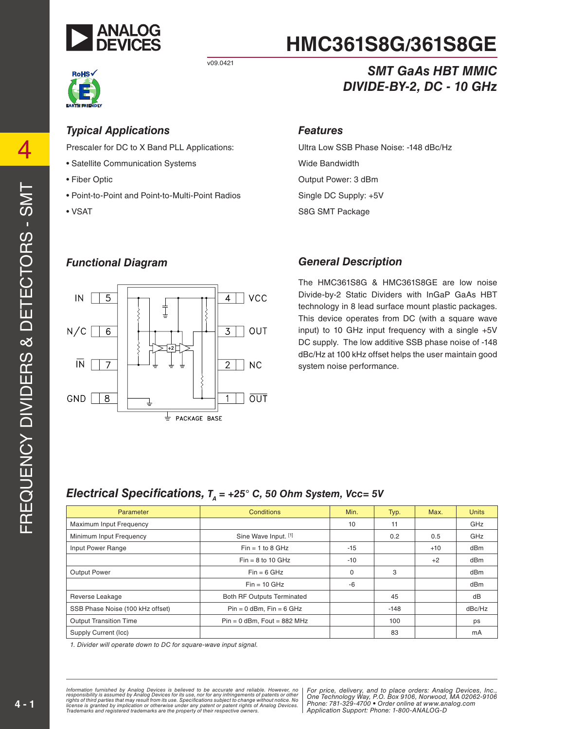



#### *Typical Applications*

Prescaler for DC to X Band PLL Applications:

- Satellite Communication Systems
- Fiber Optic
- Point-to-Point and Point-to-Multi-Point Radios
- VSAT

# **HMC361S8G/361S8GE**

#### *SMT GaAs HBT MMIC DIVIDE-BY-2, DC - 10 GHz*

#### *Features*

Ultra Low SSB Phase Noise: -148 dBc/Hz Wide Bandwidth Output Power: 3 dBm Single DC Supply: +5V S8G SMT Package

#### *Functional Diagram*



#### *General Description*

The HMC361S8G & HMC361S8GE are low noise Divide-by-2 Static Dividers with InGaP GaAs HBT technology in 8 lead surface mount plastic packages. This device operates from DC (with a square wave input) to 10 GHz input frequency with a single +5V DC supply. The low additive SSB phase noise of -148 dBc/Hz at 100 kHz offset helps the user maintain good system noise performance.

#### *Electrical Specifications,*  $T_A = +25^\circ$  *C, 50 Ohm System, Vcc= 5V*

| Parameter                        | Conditions                        | Min.     | Typ.   | Max.  | <b>Units</b>    |
|----------------------------------|-----------------------------------|----------|--------|-------|-----------------|
| Maximum Input Frequency          |                                   | 10       | 11     |       | GHz             |
| Minimum Input Frequency          | Sine Wave Input. [1]              |          | 0.2    | 0.5   | GHz             |
| Input Power Range                | $Fin = 1$ to 8 GHz                | $-15$    |        | $+10$ | dB <sub>m</sub> |
|                                  | $Fin = 8$ to 10 GHz               | $-10$    |        | $+2$  | dBm             |
| <b>Output Power</b>              | $Fin = 6 GHz$                     | $\Omega$ | 3      |       | dBm             |
|                                  | $Fin = 10$ GHz                    | -6       |        |       | dBm             |
| Reverse Leakage                  | <b>Both RF Outputs Terminated</b> |          | 45     |       | dB              |
| SSB Phase Noise (100 kHz offset) | $Pin = 0$ dBm, $Fin = 6$ GHz      |          | $-148$ |       | dBc/Hz          |
| <b>Output Transition Time</b>    | $Pin = 0$ dBm, Fout = 882 MHz     |          | 100    |       | ps              |
| Supply Current (Icc)             |                                   |          | 83     |       | mA              |

*1. Divider will operate down to DC for square-wave input signal.*

*formation furnished by Analog Devices is believed to be accurate and reliable. However, no* | For price, delivery, and to place orders: Analog Devices, Inc. ase, nor for any immigements or patents or other **Commonline Technology Way, P**<br>ecifications subject to change without notice. No and any **704, 200, 1700** *Atent or patent rights of Analog Devices.* Friction Cupper Information furnished by Analog Devices is believed to be accurate and reliable. However, no<br>responsibility is assumed by Analog Devices for its use, nor for any infringements of patents or other<br>rights of third parties th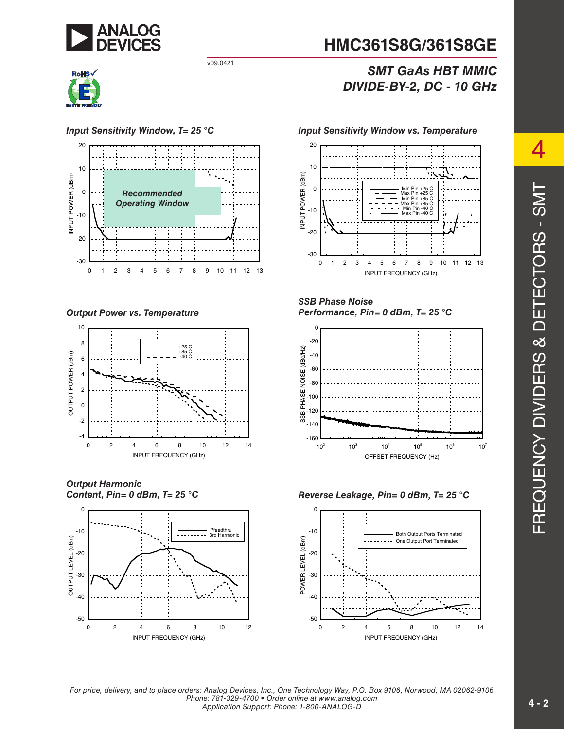



#### *Input Sensitivity Window, T= 25 °C Input Sensitivity Window vs. Temperature* 20 10 INPUT POWER (dBm) INPUT POWER (dBm) 0 *Recommended Operating Window* -10 -20 -30 0 1 2 3 4 5 6 7 8 9 10 11 12 13

*Output Power vs. Temperature*



*Output Harmonic Content, Pin= 0 dBm, T= 25 °C*





#### *SMT GaAs HBT MMIC DIVIDE-BY-2, DC - 10 GHz*



#### *SSB Phase Noise Performance, Pin= 0 dBm, T= 25 °C*



#### *Reverse Leakage, Pin= 0 dBm, T= 25 °C*



*For price, delivery, and to place orders: Analog Devices, Inc., One Technology Way, P.O. Box 9106, Norwood, MA 02062-9106 Phone: 781-329-4700 • Order online at www.analog.com Application Support: Phone: 1-800-ANALOG-D*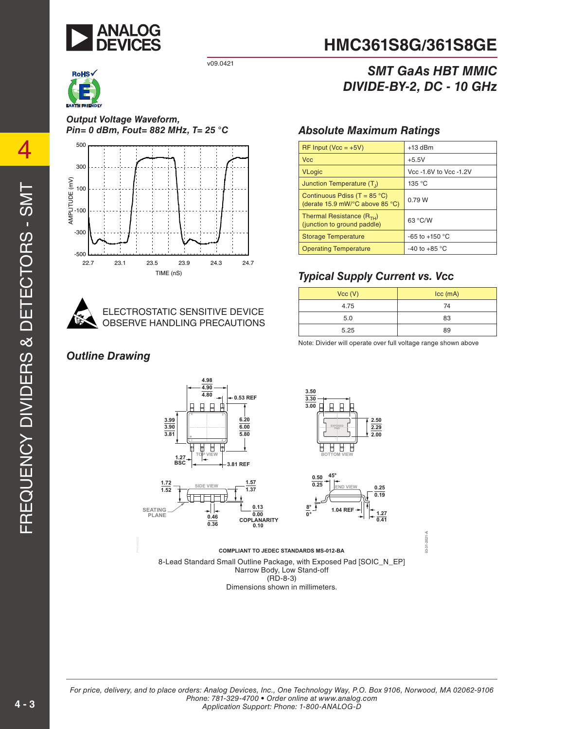



*Output Voltage Waveform, Pin= 0 dBm, Fout= 882 MHz, T= 25 °C Absolute Maximum Ratings*





ELECTROSTATIC SENSITIVE DEVICE OBSERVE HANDLING PRECAUTIONS

#### *Outline Drawing*



#### *SMT GaAs HBT MMIC DIVIDE-BY-2, DC - 10 GHz*

| RF Input ( $Vcc = +5V$ )                                                 | $+13$ dBm              |
|--------------------------------------------------------------------------|------------------------|
| <b>Vcc</b>                                                               | $+5.5V$                |
| <b>VLogic</b>                                                            | Vcc -1.6V to Vcc -1.2V |
| Junction Temperature (T <sub>1</sub> )                                   | 135 °C                 |
| Continuous Pdiss (T = $85^{\circ}$ C)<br>(derate 15.9 mW/°C above 85 °C) | 0.79 W                 |
| Thermal Resistance $(R_{TH})$<br>(junction to ground paddle)             | 63 °C/W                |
| <b>Storage Temperature</b>                                               | $-65$ to $+150$ °C     |
| <b>Operating Temperature</b>                                             | -40 to +85 $\degree$ C |

#### *Typical Supply Current vs. Vcc*

|                                                | Vcc (V) | $ cc$ (mA) |
|------------------------------------------------|---------|------------|
|                                                | 4.75    | 74         |
| <b>INSITIVE DEVICE</b><br><b>G PRECAUTIONS</b> | 5.0     | 83         |
|                                                | 5.25    | 89         |

Note: Divider will operate over full voltage range shown above







 $03 - 31 - 2021 - A$ **03-31-2021-A**

8-Lead Standard Small Outline Package, with Exposed Pad [SOIC\_N\_EP] Narrow Body, Low Stand-off  $(RD-8-3)$ Dimensions shown in millimeters.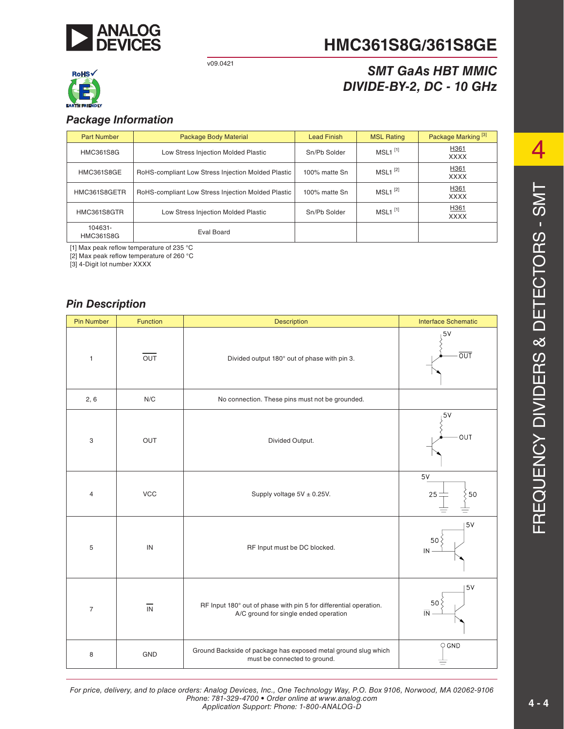

# **HMC361S8G/361S8GE**

#### *SMT GaAs HBT MMIC DIVIDE-BY-2, DC - 10 GHz*

# **RoHS√**

#### *Package Information*

| <b>Part Number</b>          | Package Body Material                              | <b>Lead Finish</b> | <b>MSL Rating</b>     | Package Marking <sup>[3]</sup> |
|-----------------------------|----------------------------------------------------|--------------------|-----------------------|--------------------------------|
| <b>HMC361S8G</b>            | Low Stress Injection Molded Plastic                | Sn/Pb Solder       | $MSL1$ <sup>[1]</sup> | H361<br><b>XXXX</b>            |
| HMC361S8GE                  | RoHS-compliant Low Stress Injection Molded Plastic | 100% matte Sn      | $MSL1^{[2]}$          | H361<br><b>XXXX</b>            |
| HMC361S8GETR                | RoHS-compliant Low Stress Injection Molded Plastic | 100% matte Sn      | $MSL1^{[2]}$          | H361<br><b>XXXX</b>            |
| HMC361S8GTR                 | Low Stress Injection Molded Plastic                | Sn/Pb Solder       | $MSL1$ <sup>[1]</sup> | H361<br><b>XXXX</b>            |
| 104631-<br><b>HMC361S8G</b> | Eval Board                                         |                    |                       |                                |

[1] Max peak reflow temperature of 235 °C

[2] Max peak reflow temperature of 260 °C

[3] 4-Digit lot number XXXX

#### *Pin Description*

| <b>Pin Number</b> | Function         | <b>Description</b>                                                                                         | <b>Interface Schematic</b>             |
|-------------------|------------------|------------------------------------------------------------------------------------------------------------|----------------------------------------|
| $\mathbf{1}$      | $\overline{OUT}$ | Divided output 180° out of phase with pin 3.                                                               | 5V<br>$\overline{OUT}$                 |
| 2, 6              | N/C              | No connection. These pins must not be grounded.                                                            |                                        |
| 3                 | OUT              | Divided Output.                                                                                            | 5V<br>OUT                              |
| 4                 | <b>VCC</b>       | Supply voltage $5V \pm 0.25V$ .                                                                            | $5\textrm{V}$<br>25 <sub>1</sub><br>50 |
| 5                 | IN               | RF Input must be DC blocked.                                                                               | 5V<br>50<br>IN                         |
| $\overline{7}$    | IN               | RF Input 180° out of phase with pin 5 for differential operation.<br>A/C ground for single ended operation | 5V<br>50<br>$\overline{\mathbb{N}}$    |
| 8                 | GND              | Ground Backside of package has exposed metal ground slug which<br>must be connected to ground.             | $\bigcirc$ GND                         |

4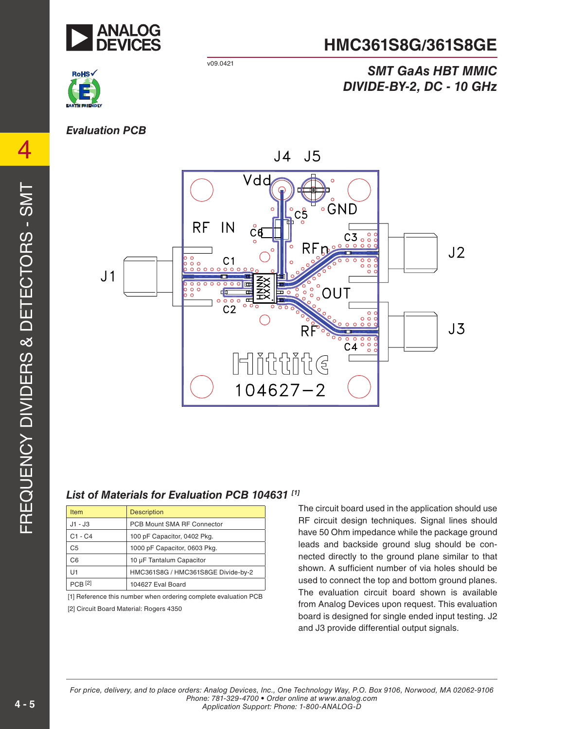

## **HMC361S8G/361S8GE**

*SMT GaAs HBT MMIC* 

*DIVIDE-BY-2, DC - 10 GHz* 

#### v09.0421



4

#### *Evaluation PCB*



#### *List of Materials for Evaluation PCB 104631 [1]*

| <b>Item</b>    | <b>Description</b>                 |
|----------------|------------------------------------|
| $J1 - J3$      | PCB Mount SMA RF Connector         |
| C1 - C4        | 100 pF Capacitor, 0402 Pkg.        |
| C <sub>5</sub> | 1000 pF Capacitor, 0603 Pkg.       |
| C <sub>6</sub> | 10 µF Tantalum Capacitor           |
| U1             | HMC361S8G / HMC361S8GE Divide-by-2 |
| <b>PCB</b> [2] | 104627 Eval Board                  |

[1] Reference this number when ordering complete evaluation PCB [2] Circuit Board Material: Rogers 4350

The circuit board used in the application should use RF circuit design techniques. Signal lines should have 50 Ohm impedance while the package ground leads and backside ground slug should be connected directly to the ground plane similar to that shown. A sufficient number of via holes should be used to connect the top and bottom ground planes. The evaluation circuit board shown is available from Analog Devices upon request. This evaluation board is designed for single ended input testing. J2 and J3 provide differential output signals.

*For price, delivery, and to place orders: Analog Devices, Inc., One Technology Way, P.O. Box 9106, Norwood, MA 02062-9106 Phone: 781-329-4700 • Order online at www.analog.com Application Support: Phone: 1-800-ANALOG-D*